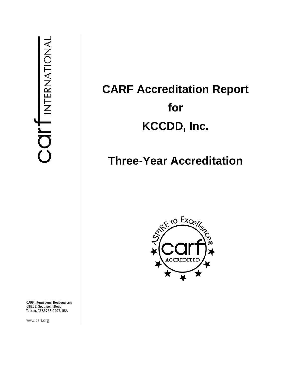# **CARF Accreditation Report for KCCDD, Inc.**

## **Three-Year Accreditation**



CARF International Headquarters 6951 E. Southpoint Road Tucson, AZ 85756-9407, USA

www.carf.org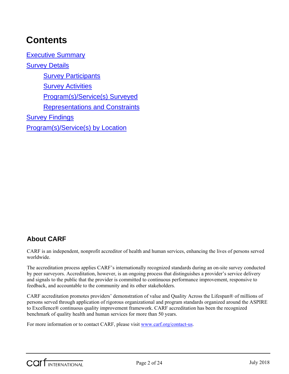## **Contents**

Executive Summary Survey Details **Survey Participants** Survey Activities Program(s)/Service(s) Surveyed Representations and Constraints Survey Findings Program(s)/Service(s) by Location

### **About CARF**

CARF is an independent, nonprofit accreditor of health and human services, enhancing the lives of persons served worldwide.

The accreditation process applies CARF's internationally recognized standards during an on-site survey conducted by peer surveyors. Accreditation, however, is an ongoing process that distinguishes a provider's service delivery and signals to the public that the provider is committed to continuous performance improvement, responsive to feedback, and accountable to the community and its other stakeholders.

CARF accreditation promotes providers' demonstration of value and Quality Across the Lifespan® of millions of persons served through application of rigorous organizational and program standards organized around the ASPIRE to Excellence® continuous quality improvement framework. CARF accreditation has been the recognized benchmark of quality health and human services for more than 50 years.

For more information or to contact CARF, please visit www.carf.org/contact-us.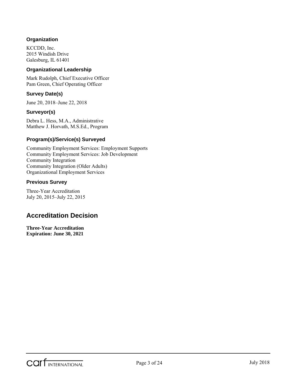#### **Organization**

KCCDD, Inc. 2015 Windish Drive Galesburg, IL 61401

#### **Organizational Leadership**

Mark Rudolph, Chief Executive Officer Pam Green, Chief Operating Officer

#### **Survey Date(s)**

June 20, 2018–June 22, 2018

#### **Surveyor(s)**

Debra L. Hess, M.A., Administrative Matthew J. Horvath, M.S.Ed., Program

#### **Program(s)/Service(s) Surveyed**

Community Employment Services: Employment Supports Community Employment Services: Job Development Community Integration Community Integration (Older Adults) Organizational Employment Services

#### **Previous Survey**

Three-Year Accreditation July 20, 2015–July 22, 2015

### **Accreditation Decision**

**Three-Year Accreditation Expiration: June 30, 2021**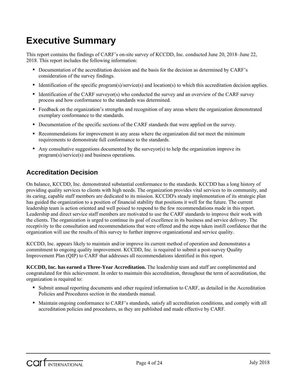## **Executive Summary**

This report contains the findings of CARF's on-site survey of KCCDD, Inc. conducted June 20, 2018–June 22, 2018. This report includes the following information:

- Documentation of the accreditation decision and the basis for the decision as determined by CARF's consideration of the survey findings.
- Identification of the specific program(s)/service(s) and location(s) to which this accreditation decision applies.
- Identification of the CARF surveyor(s) who conducted the survey and an overview of the CARF survey process and how conformance to the standards was determined.
- Feedback on the organization's strengths and recognition of any areas where the organization demonstrated exemplary conformance to the standards.
- Documentation of the specific sections of the CARF standards that were applied on the survey.
- Recommendations for improvement in any areas where the organization did not meet the minimum requirements to demonstrate full conformance to the standards.
- Any consultative suggestions documented by the surveyor(s) to help the organization improve its program(s)/service(s) and business operations.

### **Accreditation Decision**

On balance, KCCDD, Inc. demonstrated substantial conformance to the standards. KCCDD has a long history of providing quality services to clients with high needs. The organization provides vital services to its community, and its caring, capable staff members are dedicated to its mission. KCCDD's steady implementation of its strategic plan has guided the organization to a position of financial stability that positions it well for the future. The current leadership team is action oriented and well poised to respond to the few recommendations made in this report. Leadership and direct service staff members are motivated to use the CARF standards to improve their work with the clients. The organization is urged to continue its goal of excellence in its business and service delivery. The receptivity to the consultation and recommendations that were offered and the steps taken instill confidence that the organization will use the results of this survey to further improve organizational and service quality.

KCCDD, Inc. appears likely to maintain and/or improve its current method of operation and demonstrates a commitment to ongoing quality improvement. KCCDD, Inc. is required to submit a post-survey Quality Improvement Plan (QIP) to CARF that addresses all recommendations identified in this report.

**KCCDD, Inc. has earned a Three-Year Accreditation.** The leadership team and staff are complimented and congratulated for this achievement. In order to maintain this accreditation, throughout the term of accreditation, the organization is required to:

- Submit annual reporting documents and other required information to CARF, as detailed in the Accreditation Policies and Procedures section in the standards manual.
- Maintain ongoing conformance to CARF's standards, satisfy all accreditation conditions, and comply with all accreditation policies and procedures, as they are published and made effective by CARF.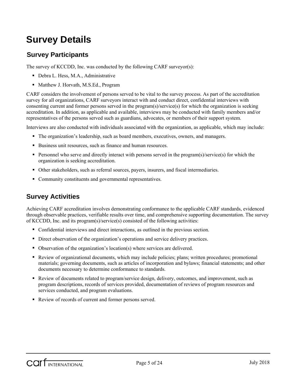## **Survey Details**

### **Survey Participants**

The survey of KCCDD, Inc. was conducted by the following CARF surveyor(s):

- Debra L. Hess, M.A., Administrative
- Matthew J. Horvath, M.S.Ed., Program

CARF considers the involvement of persons served to be vital to the survey process. As part of the accreditation survey for all organizations, CARF surveyors interact with and conduct direct, confidential interviews with consenting current and former persons served in the program(s)/service(s) for which the organization is seeking accreditation. In addition, as applicable and available, interviews may be conducted with family members and/or representatives of the persons served such as guardians, advocates, or members of their support system.

Interviews are also conducted with individuals associated with the organization, as applicable, which may include:

- The organization's leadership, such as board members, executives, owners, and managers.
- Business unit resources, such as finance and human resources.
- Personnel who serve and directly interact with persons served in the program(s)/service(s) for which the organization is seeking accreditation.
- Other stakeholders, such as referral sources, payers, insurers, and fiscal intermediaries.
- Community constituents and governmental representatives.

### **Survey Activities**

Achieving CARF accreditation involves demonstrating conformance to the applicable CARF standards, evidenced through observable practices, verifiable results over time, and comprehensive supporting documentation. The survey of KCCDD, Inc. and its program(s)/service(s) consisted of the following activities:

- Confidential interviews and direct interactions, as outlined in the previous section.
- Direct observation of the organization's operations and service delivery practices.
- Observation of the organization's location(s) where services are delivered.
- Review of organizational documents, which may include policies; plans; written procedures; promotional materials; governing documents, such as articles of incorporation and bylaws; financial statements; and other documents necessary to determine conformance to standards.
- Review of documents related to program/service design, delivery, outcomes, and improvement, such as program descriptions, records of services provided, documentation of reviews of program resources and services conducted, and program evaluations.
- Review of records of current and former persons served.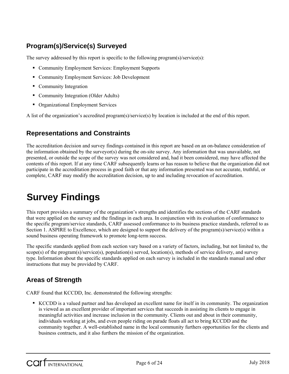### **Program(s)/Service(s) Surveyed**

The survey addressed by this report is specific to the following program(s)/service(s):

- Community Employment Services: Employment Supports
- Community Employment Services: Job Development
- Community Integration
- Community Integration (Older Adults)
- Organizational Employment Services

A list of the organization's accredited program(s)/service(s) by location is included at the end of this report.

### **Representations and Constraints**

The accreditation decision and survey findings contained in this report are based on an on-balance consideration of the information obtained by the surveyor(s) during the on-site survey. Any information that was unavailable, not presented, or outside the scope of the survey was not considered and, had it been considered, may have affected the contents of this report. If at any time CARF subsequently learns or has reason to believe that the organization did not participate in the accreditation process in good faith or that any information presented was not accurate, truthful, or complete, CARF may modify the accreditation decision, up to and including revocation of accreditation.

## **Survey Findings**

This report provides a summary of the organization's strengths and identifies the sections of the CARF standards that were applied on the survey and the findings in each area. In conjunction with its evaluation of conformance to the specific program/service standards, CARF assessed conformance to its business practice standards, referred to as Section 1. ASPIRE to Excellence, which are designed to support the delivery of the program(s)/service(s) within a sound business operating framework to promote long-term success.

The specific standards applied from each section vary based on a variety of factors, including, but not limited to, the scope(s) of the program(s)/service(s), population(s) served, location(s), methods of service delivery, and survey type. Information about the specific standards applied on each survey is included in the standards manual and other instructions that may be provided by CARF.

### **Areas of Strength**

CARF found that KCCDD, Inc. demonstrated the following strengths:

 KCCDD is a valued partner and has developed an excellent name for itself in its community. The organization is viewed as an excellent provider of important services that succeeds in assisting its clients to engage in meaningful activities and increase inclusion in the community. Clients out and about in their community, individuals working at jobs, and even people riding on parade floats all act to bring KCCDD and the community together. A well-established name in the local community furthers opportunities for the clients and business contracts, and it also furthers the mission of the organization.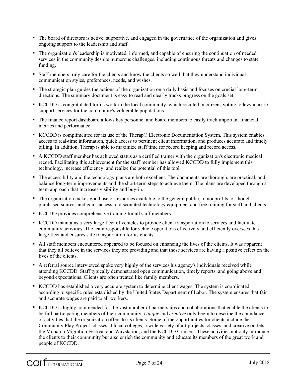- The board of directors is active, supportive, and engaged in the governance of the organization and gives ongoing support to the leadership and staff.
- The organization's leadership is motivated, informed, and capable of ensuring the continuation of needed services in the community despite numerous challenges, including continuous threats and changes to state funding.
- Staff members truly care for the clients and know the clients so well that they understand individual communication styles, preferences, needs, and wishes.
- The strategic plan guides the actions of the organization on a daily basis and focuses on crucial long-term directions. The summary document is easy to read and clearly tracks progress on the goals set.
- KCCDD is congratulated for its work in the local community, which resulted in citizens voting to levy a tax to support services for the community's vulnerable populations.
- The finance report dashboard allows key personnel and board members to easily track important financial metrics and performance.
- KCCDD is complimented for its use of the Therap® Electronic Documentation System. This system enables access to real-time information, quick access to pertinent client information, and produces accurate and timely billing. In addition, Therap is able to maximize staff time for record keeping and record access.
- A KCCDD staff member has achieved status as a certified trainer with the organization's electronic medical record. Facilitating this achievement for the staff member has allowed KCCDD to fully implement this technology, increase efficiency, and realize the potential of this tool.
- The accessibility and the technology plans are both excellent. The documents are thorough, are practical, and balance long-term improvements and the short-term steps to achieve them. The plans are developed through a team approach that increases visibility and buy-in.
- The organization makes good use of resources available to the general public, to nonprofits, or though purchased sources and gains access to discounted technology equipment and free training for staff and clients.
- KCCDD provides comprehensive training for all staff members.
- KCCDD maintains a very large fleet of vehicles to provide client transportation to services and facilitate community activities. The team responsible for vehicle operations effectively and efficiently oversees this large fleet and ensures safe transportation for its clients.
- All staff members encountered appeared to be focused on enhancing the lives of the clients. It was apparent that they all believe in the services they are providing and that those services are having a positive effect on the lives of the clients.
- A referral source interviewed spoke very highly of the services his agency's individuals received while attending KCCDD. Staff typically demonstrated open communication, timely reports, and going above and beyond expectations. Clients are often treated like family members.
- KCCDD has established a very accurate system to determine client wages. The system is coordinated according to specific rules established by the United States Department of Labor. The system ensures that fair and accurate wages are paid to all workers.
- KCCDD is highly commended for the vast number of partnerships and collaborations that enable the clients to be full participating members of their community. *Unique* and *creative* only begin to describe the abundance of activities that the organization offers to its clients. Some of the opportunities for clients include the Community Play Project; classes at local colleges; a wide variety of art projects, classes, and creative outlets; the Monarch Migration Festival and Waystation; and the KCCDD Cruisers. These activities not only introduce the clients to their community but also enrich the community and educate its members of the great work and people of KCCDD.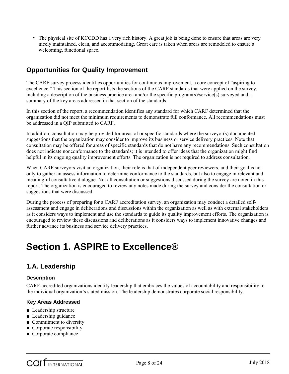The physical site of KCCDD has a very rich history. A great job is being done to ensure that areas are very nicely maintained, clean, and accommodating. Great care is taken when areas are remodeled to ensure a welcoming, functional space.

### **Opportunities for Quality Improvement**

The CARF survey process identifies opportunities for continuous improvement, a core concept of "aspiring to excellence." This section of the report lists the sections of the CARF standards that were applied on the survey, including a description of the business practice area and/or the specific program(s)/service(s) surveyed and a summary of the key areas addressed in that section of the standards.

In this section of the report, a recommendation identifies any standard for which CARF determined that the organization did not meet the minimum requirements to demonstrate full conformance. All recommendations must be addressed in a QIP submitted to CARF.

In addition, consultation may be provided for areas of or specific standards where the surveyor(s) documented suggestions that the organization may consider to improve its business or service delivery practices. Note that consultation may be offered for areas of specific standards that do not have any recommendations. Such consultation does not indicate nonconformance to the standards; it is intended to offer ideas that the organization might find helpful in its ongoing quality improvement efforts. The organization is not required to address consultation.

When CARF surveyors visit an organization, their role is that of independent peer reviewers, and their goal is not only to gather an assess information to determine conformance to the standards, but also to engage in relevant and meaningful consultative dialogue. Not all consultation or suggestions discussed during the survey are noted in this report. The organization is encouraged to review any notes made during the survey and consider the consultation or suggestions that were discussed.

During the process of preparing for a CARF accreditation survey, an organization may conduct a detailed selfassessment and engage in deliberations and discussions within the organization as well as with external stakeholders as it considers ways to implement and use the standards to guide its quality improvement efforts. The organization is encouraged to review these discussions and deliberations as it considers ways to implement innovative changes and further advance its business and service delivery practices.

## **Section 1. ASPIRE to Excellence®**

### **1.A. Leadership**

#### **Description**

CARF-accredited organizations identify leadership that embraces the values of accountability and responsibility to the individual organization's stated mission. The leadership demonstrates corporate social responsibility.

#### **Key Areas Addressed**

- Leadership structure
- Leadership guidance
- Commitment to diversity
- Corporate responsibility
- Corporate compliance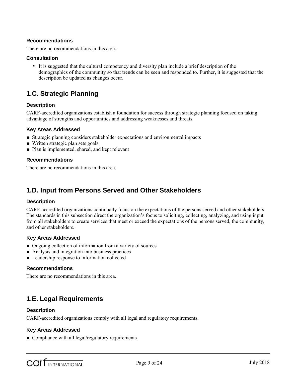#### **Recommendations**

There are no recommendations in this area.

#### **Consultation**

 It is suggested that the cultural competency and diversity plan include a brief description of the demographics of the community so that trends can be seen and responded to. Further, it is suggested that the description be updated as changes occur.

### **1.C. Strategic Planning**

#### **Description**

CARF-accredited organizations establish a foundation for success through strategic planning focused on taking advantage of strengths and opportunities and addressing weaknesses and threats.

#### **Key Areas Addressed**

- Strategic planning considers stakeholder expectations and environmental impacts
- Written strategic plan sets goals
- Plan is implemented, shared, and kept relevant

#### **Recommendations**

There are no recommendations in this area.

### **1.D. Input from Persons Served and Other Stakeholders**

#### **Description**

CARF-accredited organizations continually focus on the expectations of the persons served and other stakeholders. The standards in this subsection direct the organization's focus to soliciting, collecting, analyzing, and using input from all stakeholders to create services that meet or exceed the expectations of the persons served, the community, and other stakeholders.

#### **Key Areas Addressed**

- Ongoing collection of information from a variety of sources
- Analysis and integration into business practices
- Leadership response to information collected

#### **Recommendations**

There are no recommendations in this area.

### **1.E. Legal Requirements**

#### **Description**

CARF-accredited organizations comply with all legal and regulatory requirements.

#### **Key Areas Addressed**

■ Compliance with all legal/regulatory requirements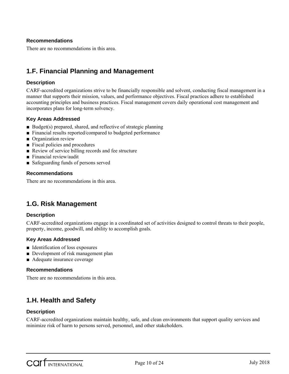#### **Recommendations**

There are no recommendations in this area.

### **1.F. Financial Planning and Management**

#### **Description**

CARF-accredited organizations strive to be financially responsible and solvent, conducting fiscal management in a manner that supports their mission, values, and performance objectives. Fiscal practices adhere to established accounting principles and business practices. Fiscal management covers daily operational cost management and incorporates plans for long-term solvency.

#### **Key Areas Addressed**

- Budget(s) prepared, shared, and reflective of strategic planning
- Financial results reported/compared to budgeted performance
- Organization review
- Fiscal policies and procedures
- Review of service billing records and fee structure
- Financial review/audit
- Safeguarding funds of persons served

#### **Recommendations**

There are no recommendations in this area.

### **1.G. Risk Management**

#### **Description**

CARF-accredited organizations engage in a coordinated set of activities designed to control threats to their people, property, income, goodwill, and ability to accomplish goals.

#### **Key Areas Addressed**

- Identification of loss exposures
- Development of risk management plan
- Adequate insurance coverage

#### **Recommendations**

There are no recommendations in this area.

### **1.H. Health and Safety**

#### **Description**

CARF-accredited organizations maintain healthy, safe, and clean environments that support quality services and minimize risk of harm to persons served, personnel, and other stakeholders.

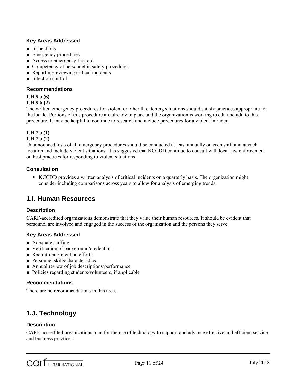#### **Key Areas Addressed**

- Inspections
- Emergency procedures
- Access to emergency first aid
- Competency of personnel in safety procedures
- Reporting/reviewing critical incidents
- Infection control

#### **Recommendations**

#### **1.H.5.a.(6)**

**1.H.5.b.(2)**

The written emergency procedures for violent or other threatening situations should satisfy practices appropriate for the locale. Portions of this procedure are already in place and the organization is working to edit and add to this procedure. It may be helpful to continue to research and include procedures for a violent intruder.

#### **1.H.7.a.(1)**

#### **1.H.7.a.(2)**

Unannounced tests of all emergency procedures should be conducted at least annually on each shift and at each location and include violent situations. It is suggested that KCCDD continue to consult with local law enforcement on best practices for responding to violent situations.

#### **Consultation**

 KCCDD provides a written analysis of critical incidents on a quarterly basis. The organization might consider including comparisons across years to allow for analysis of emerging trends.

### **1.I. Human Resources**

#### **Description**

CARF-accredited organizations demonstrate that they value their human resources. It should be evident that personnel are involved and engaged in the success of the organization and the persons they serve.

#### **Key Areas Addressed**

- Adequate staffing
- Verification of background/credentials
- Recruitment/retention efforts
- Personnel skills/characteristics
- Annual review of job descriptions/performance
- Policies regarding students/volunteers, if applicable

#### **Recommendations**

There are no recommendations in this area.

### **1.J. Technology**

#### **Description**

CARF-accredited organizations plan for the use of technology to support and advance effective and efficient service and business practices.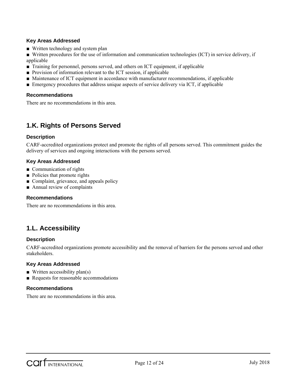#### **Key Areas Addressed**

- Written technology and system plan
- Written procedures for the use of information and communication technologies (ICT) in service delivery, if applicable
- Training for personnel, persons served, and others on ICT equipment, if applicable
- Provision of information relevant to the ICT session, if applicable
- Maintenance of ICT equipment in accordance with manufacturer recommendations, if applicable
- Emergency procedures that address unique aspects of service delivery via ICT, if applicable

#### **Recommendations**

There are no recommendations in this area.

### **1.K. Rights of Persons Served**

#### **Description**

CARF-accredited organizations protect and promote the rights of all persons served. This commitment guides the delivery of services and ongoing interactions with the persons served.

#### **Key Areas Addressed**

- Communication of rights
- Policies that promote rights
- Complaint, grievance, and appeals policy
- Annual review of complaints

#### **Recommendations**

There are no recommendations in this area.

### **1.L. Accessibility**

#### **Description**

CARF-accredited organizations promote accessibility and the removal of barriers for the persons served and other stakeholders.

#### **Key Areas Addressed**

- $\blacksquare$  Written accessibility plan(s)
- Requests for reasonable accommodations

#### **Recommendations**

There are no recommendations in this area.

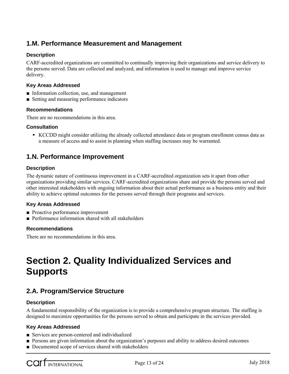### **1.M. Performance Measurement and Management**

#### **Description**

CARF-accredited organizations are committed to continually improving their organizations and service delivery to the persons served. Data are collected and analyzed, and information is used to manage and improve service delivery.

#### **Key Areas Addressed**

- Information collection, use, and management
- Setting and measuring performance indicators

#### **Recommendations**

There are no recommendations in this area.

#### **Consultation**

 KCCDD might consider utilizing the already collected attendance data or program enrollment census data as a measure of access and to assist in planning when staffing increases may be warranted.

### **1.N. Performance Improvement**

#### **Description**

The dynamic nature of continuous improvement in a CARF-accredited organization sets it apart from other organizations providing similar services. CARF-accredited organizations share and provide the persons served and other interested stakeholders with ongoing information about their actual performance as a business entity and their ability to achieve optimal outcomes for the persons served through their programs and services.

#### **Key Areas Addressed**

- Proactive performance improvement
- Performance information shared with all stakeholders

#### **Recommendations**

There are no recommendations in this area.

## **Section 2. Quality Individualized Services and Supports**

### **2.A. Program/Service Structure**

#### **Description**

A fundamental responsibility of the organization is to provide a comprehensive program structure. The staffing is designed to maximize opportunities for the persons served to obtain and participate in the services provided.

#### **Key Areas Addressed**

- Services are person-centered and individualized
- Persons are given information about the organization's purposes and ability to address desired outcomes
- Documented scope of services shared with stakeholders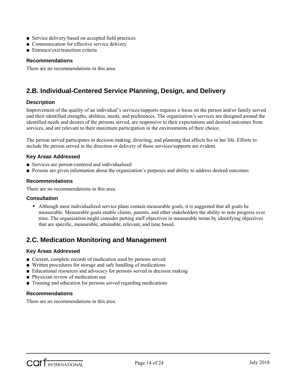- Service delivery based on accepted field practices
- Communication for effective service delivery
- Entrance/exit/transition criteria

#### **Recommendations**

There are no recommendations in this area.

### **2.B. Individual-Centered Service Planning, Design, and Delivery**

#### **Description**

Improvement of the quality of an individual's services/supports requires a focus on the person and/or family served and their identified strengths, abilities, needs, and preferences. The organization's services are designed around the identified needs and desires of the persons served, are responsive to their expectations and desired outcomes from services, and are relevant to their maximum participation in the environments of their choice.

The person served participates in decision making, directing, and planning that affects his or her life. Efforts to include the person served in the direction or delivery of those services/supports are evident.

#### **Key Areas Addressed**

- Services are person-centered and individualized
- Persons are given information about the organization's purposes and ability to address desired outcomes

#### **Recommendations**

There are no recommendations in this area.

#### **Consultation**

 Although most individualized service plans contain measurable goals, it is suggested that all goals be measurable. Measurable goals enable clients, parents, and other stakeholders the ability to note progress over time. The organization might consider putting staff objectives in measurable terms by identifying objectives that are specific, measurable, attainable, relevant, and time based.

### **2.C. Medication Monitoring and Management**

#### **Key Areas Addressed**

- Current, complete records of medication used by persons served
- Written procedures for storage and safe handling of medications
- Educational resources and advocacy for persons served in decision making
- Physician review of medication use
- Training and education for persons served regarding medications

#### **Recommendations**

There are no recommendations in this area.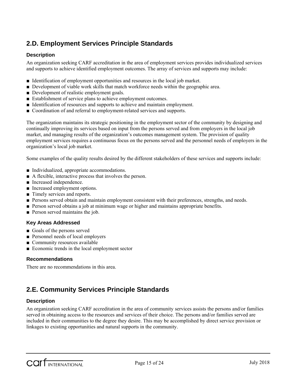### **2.D. Employment Services Principle Standards**

#### **Description**

An organization seeking CARF accreditation in the area of employment services provides individualized services and supports to achieve identified employment outcomes. The array of services and supports may include:

- Identification of employment opportunities and resources in the local job market.
- Development of viable work skills that match workforce needs within the geographic area.
- Development of realistic employment goals.
- Establishment of service plans to achieve employment outcomes.
- Identification of resources and supports to achieve and maintain employment.
- Coordination of and referral to employment-related services and supports.

The organization maintains its strategic positioning in the employment sector of the community by designing and continually improving its services based on input from the persons served and from employers in the local job market, and managing results of the organization's outcomes management system. The provision of quality employment services requires a continuous focus on the persons served and the personnel needs of employers in the organization's local job market.

Some examples of the quality results desired by the different stakeholders of these services and supports include:

- Individualized, appropriate accommodations.
- A flexible, interactive process that involves the person.
- Increased independence.
- Increased employment options.
- Timely services and reports.
- Persons served obtain and maintain employment consistent with their preferences, strengths, and needs.
- Person served obtains a job at minimum wage or higher and maintains appropriate benefits.
- Person served maintains the job.

#### **Key Areas Addressed**

- Goals of the persons served
- Personnel needs of local employers
- Community resources available
- Economic trends in the local employment sector

#### **Recommendations**

There are no recommendations in this area.

### **2.E. Community Services Principle Standards**

#### **Description**

An organization seeking CARF accreditation in the area of community services assists the persons and/or families served in obtaining access to the resources and services of their choice. The persons and/or families served are included in their communities to the degree they desire. This may be accomplished by direct service provision or linkages to existing opportunities and natural supports in the community.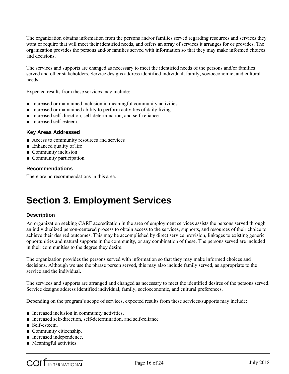The organization obtains information from the persons and/or families served regarding resources and services they want or require that will meet their identified needs, and offers an array of services it arranges for or provides. The organization provides the persons and/or families served with information so that they may make informed choices and decisions.

The services and supports are changed as necessary to meet the identified needs of the persons and/or families served and other stakeholders. Service designs address identified individual, family, socioeconomic, and cultural needs.

Expected results from these services may include:

- Increased or maintained inclusion in meaningful community activities.
- Increased or maintained ability to perform activities of daily living.
- Increased self-direction, self-determination, and self-reliance.
- Increased self-esteem.

#### **Key Areas Addressed**

- Access to community resources and services
- Enhanced quality of life
- Community inclusion
- Community participation

#### **Recommendations**

There are no recommendations in this area.

## **Section 3. Employment Services**

#### **Description**

An organization seeking CARF accreditation in the area of employment services assists the persons served through an individualized person-centered process to obtain access to the services, supports, and resources of their choice to achieve their desired outcomes. This may be accomplished by direct service provision, linkages to existing generic opportunities and natural supports in the community, or any combination of these. The persons served are included in their communities to the degree they desire.

The organization provides the persons served with information so that they may make informed choices and decisions. Although we use the phrase person served, this may also include family served, as appropriate to the service and the individual.

The services and supports are arranged and changed as necessary to meet the identified desires of the persons served. Service designs address identified individual, family, socioeconomic, and cultural preferences.

Depending on the program's scope of services, expected results from these services/supports may include:

- Increased inclusion in community activities.
- Increased self-direction, self-determination, and self-reliance
- Self-esteem.
- Community citizenship.
- Increased independence.
- Meaningful activities.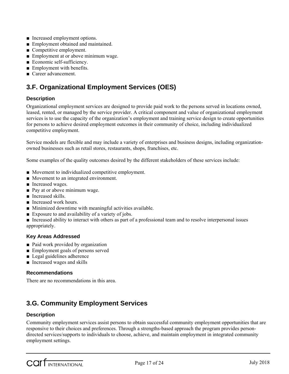- Increased employment options.
- Employment obtained and maintained.
- Competitive employment.
- Employment at or above minimum wage.
- Economic self-sufficiency.
- Employment with benefits.
- Career advancement.

### **3.F. Organizational Employment Services (OES)**

### **Description**

Organizational employment services are designed to provide paid work to the persons served in locations owned, leased, rented, or managed by the service provider. A critical component and value of organizational employment services is to use the capacity of the organization's employment and training service design to create opportunities for persons to achieve desired employment outcomes in their community of choice, including individualized competitive employment.

Service models are flexible and may include a variety of enterprises and business designs, including organizationowned businesses such as retail stores, restaurants, shops, franchises, etc.

Some examples of the quality outcomes desired by the different stakeholders of these services include:

- Movement to individualized competitive employment.
- Movement to an integrated environment.
- Increased wages.
- Pay at or above minimum wage.
- Increased skills.
- Increased work hours.
- Minimized downtime with meaningful activities available.
- Exposure to and availability of a variety of jobs.
- Increased ability to interact with others as part of a professional team and to resolve interpersonal issues appropriately.

#### **Key Areas Addressed**

- Paid work provided by organization
- Employment goals of persons served
- Legal guidelines adherence
- Increased wages and skills

#### **Recommendations**

There are no recommendations in this area.

### **3.G. Community Employment Services**

#### **Description**

Community employment services assist persons to obtain successful community employment opportunities that are responsive to their choices and preferences. Through a strengths-based approach the program provides persondirected services/supports to individuals to choose, achieve, and maintain employment in integrated community employment settings.

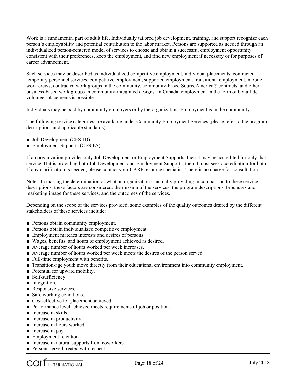Work is a fundamental part of adult life. Individually tailored job development, training, and support recognize each person's employability and potential contribution to the labor market. Persons are supported as needed through an individualized person-centered model of services to choose and obtain a successful employment opportunity consistent with their preferences, keep the employment, and find new employment if necessary or for purposes of career advancement.

Such services may be described as individualized competitive employment, individual placements, contracted temporary personnel services, competitive employment, supported employment, transitional employment, mobile work crews, contracted work groups in the community, community-based SourceAmerica® contracts, and other business-based work groups in community-integrated designs. In Canada, employment in the form of bona fide volunteer placements is possible.

Individuals may be paid by community employers or by the organization. Employment is in the community.

The following service categories are available under Community Employment Services (please refer to the program descriptions and applicable standards):

- Job Development (CES:JD)
- Employment Supports (CES:ES)

If an organization provides only Job Development or Employment Supports, then it may be accredited for only that service. If it is providing both Job Development and Employment Supports, then it must seek accreditation for both. If any clarification is needed, please contact your CARF resource specialist. There is no charge for consultation.

Note: In making the determination of what an organization is actually providing in comparison to these service descriptions, these factors are considered: the mission of the services, the program descriptions, brochures and marketing image for these services, and the outcomes of the services.

Depending on the scope of the services provided, some examples of the quality outcomes desired by the different stakeholders of these services include:

- Persons obtain community employment.
- Persons obtain individualized competitive employment.
- Employment matches interests and desires of persons.
- Wages, benefits, and hours of employment achieved as desired.
- Average number of hours worked per week increases.
- Average number of hours worked per week meets the desires of the person served.
- Full-time employment with benefits.
- Transition-age youth move directly from their educational environment into community employment.
- Potential for upward mobility.
- Self-sufficiency.
- Integration.
- Responsive services.
- Safe working conditions.
- Cost-effective for placement achieved.
- Performance level achieved meets requirements of job or position.
- Increase in skills.
- Increase in productivity.
- Increase in hours worked.
- Increase in pay.
- Employment retention.
- Increase in natural supports from coworkers.
- Persons served treated with respect.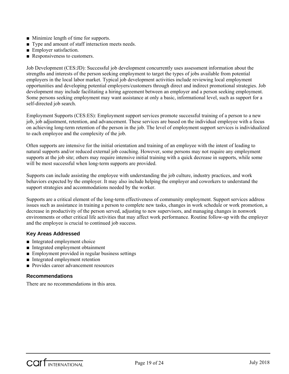- Minimize length of time for supports.
- Type and amount of staff interaction meets needs.
- Employer satisfaction.
- Responsiveness to customers.

Job Development (CES:JD): Successful job development concurrently uses assessment information about the strengths and interests of the person seeking employment to target the types of jobs available from potential employers in the local labor market. Typical job development activities include reviewing local employment opportunities and developing potential employers/customers through direct and indirect promotional strategies. Job development may include facilitating a hiring agreement between an employer and a person seeking employment. Some persons seeking employment may want assistance at only a basic, informational level, such as support for a self-directed job search.

Employment Supports (CES:ES): Employment support services promote successful training of a person to a new job, job adjustment, retention, and advancement. These services are based on the individual employee with a focus on achieving long-term retention of the person in the job. The level of employment support services is individualized to each employee and the complexity of the job.

Often supports are intensive for the initial orientation and training of an employee with the intent of leading to natural supports and/or reduced external job coaching. However, some persons may not require any employment supports at the job site; others may require intensive initial training with a quick decrease in supports, while some will be most successful when long-term supports are provided.

Supports can include assisting the employee with understanding the job culture, industry practices, and work behaviors expected by the employer. It may also include helping the employer and coworkers to understand the support strategies and accommodations needed by the worker.

Supports are a critical element of the long-term effectiveness of community employment. Support services address issues such as assistance in training a person to complete new tasks, changes in work schedule or work promotion, a decrease in productivity of the person served, adjusting to new supervisors, and managing changes in nonwork environments or other critical life activities that may affect work performance. Routine follow-up with the employer and the employee is crucial to continued job success.

#### **Key Areas Addressed**

- Integrated employment choice
- Integrated employment obtainment
- Employment provided in regular business settings
- Integrated employment retention
- Provides career advancement resources

#### **Recommendations**

There are no recommendations in this area.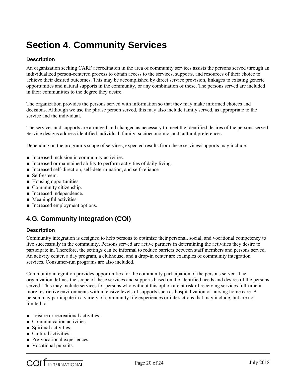## **Section 4. Community Services**

#### **Description**

An organization seeking CARF accreditation in the area of community services assists the persons served through an individualized person-centered process to obtain access to the services, supports, and resources of their choice to achieve their desired outcomes. This may be accomplished by direct service provision, linkages to existing generic opportunities and natural supports in the community, or any combination of these. The persons served are included in their communities to the degree they desire.

The organization provides the persons served with information so that they may make informed choices and decisions. Although we use the phrase person served, this may also include family served, as appropriate to the service and the individual.

The services and supports are arranged and changed as necessary to meet the identified desires of the persons served. Service designs address identified individual, family, socioeconomic, and cultural preferences.

Depending on the program's scope of services, expected results from these services/supports may include:

- Increased inclusion in community activities.
- Increased or maintained ability to perform activities of daily living.
- Increased self-direction, self-determination, and self-reliance
- Self-esteem.
- Housing opportunities.
- Community citizenship.
- Increased independence.
- Meaningful activities.
- Increased employment options.

### **4.G. Community Integration (COI)**

#### **Description**

Community integration is designed to help persons to optimize their personal, social, and vocational competency to live successfully in the community. Persons served are active partners in determining the activities they desire to participate in. Therefore, the settings can be informal to reduce barriers between staff members and persons served. An activity center, a day program, a clubhouse, and a drop-in center are examples of community integration services. Consumer-run programs are also included.

Community integration provides opportunities for the community participation of the persons served. The organization defines the scope of these services and supports based on the identified needs and desires of the persons served. This may include services for persons who without this option are at risk of receiving services full-time in more restrictive environments with intensive levels of supports such as hospitalization or nursing home care. A person may participate in a variety of community life experiences or interactions that may include, but are not limited to:

- Leisure or recreational activities.
- Communication activities.
- Spiritual activities.
- Cultural activities.
- Pre-vocational experiences.
- Vocational pursuits.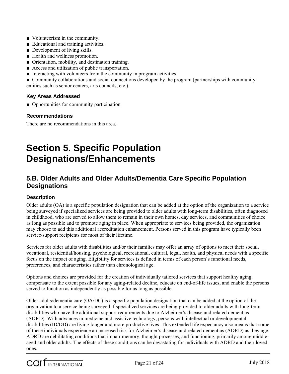- Volunteerism in the community.
- Educational and training activities.
- Development of living skills.
- Health and wellness promotion.
- Orientation, mobility, and destination training.
- Access and utilization of public transportation.
- Interacting with volunteers from the community in program activities.

■ Community collaborations and social connections developed by the program (partnerships with community entities such as senior centers, arts councils, etc.).

#### **Key Areas Addressed**

■ Opportunities for community participation

#### **Recommendations**

There are no recommendations in this area.

## **Section 5. Specific Population Designations/Enhancements**

### **5.B. Older Adults and Older Adults/Dementia Care Specific Population Designations**

#### **Description**

Older adults (OA) is a specific population designation that can be added at the option of the organization to a service being surveyed if specialized services are being provided to older adults with long-term disabilities, often diagnosed in childhood, who are served to allow them to remain in their own homes, day services, and communities of choice as long as possible and to promote aging in place. When appropriate to services being provided, the organization may choose to add this additional accreditation enhancement. Persons served in this program have typically been service/support recipients for most of their lifetime.

Services for older adults with disabilities and/or their families may offer an array of options to meet their social, vocational, residential/housing, psychological, recreational, cultural, legal, health, and physical needs with a specific focus on the impact of aging. Eligibility for services is defined in terms of each person's functional needs, preferences, and characteristics rather than chronological age.

Options and choices are provided for the creation of individually tailored services that support healthy aging, compensate to the extent possible for any aging-related decline, educate on end-of-life issues, and enable the persons served to function as independently as possible for as long as possible.

Older adults/dementia care (OA/DC) is a specific population designation that can be added at the option of the organization to a service being surveyed if specialized services are being provided to older adults with long-term disabilities who have the additional support requirements due to Alzheimer's disease and related dementias (ADRD). With advances in medicine and assistive technology, persons with intellectual or developmental disabilities (ID/DD) are living longer and more productive lives. This extended life expectancy also means that some of these individuals experience an increased risk for Alzheimer's disease and related dementias (ADRD) as they age. ADRD are debilitating conditions that impair memory, thought processes, and functioning, primarily among middleaged and older adults. The effects of these conditions can be devastating for individuals with ADRD and their loved ones.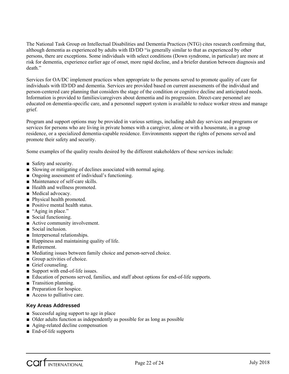The National Task Group on Intellectual Disabilities and Dementia Practices (NTG) cites research confirming that, although dementia as experienced by adults with ID/DD "is generally similar to that as experienced by other persons, there are exceptions. Some individuals with select conditions (Down syndrome, in particular) are more at risk for dementia, experience earlier age of onset, more rapid decline, and a briefer duration between diagnosis and death."

Services for OA/DC implement practices when appropriate to the persons served to promote quality of care for individuals with ID/DD and dementia. Services are provided based on current assessments of the individual and person-centered care planning that considers the stage of the condition or cognitive decline and anticipated needs. Information is provided to families/caregivers about dementia and its progression. Direct-care personnel are educated on dementia-specific care, and a personnel support system is available to reduce worker stress and manage grief.

Program and support options may be provided in various settings, including adult day services and programs or services for persons who are living in private homes with a caregiver, alone or with a housemate, in a group residence, or a specialized dementia-capable residence. Environments support the rights of persons served and promote their safety and security.

Some examples of the quality results desired by the different stakeholders of these services include:

- Safety and security.
- Slowing or mitigating of declines associated with normal aging.
- Ongoing assessment of individual's functioning.
- Maintenance of self-care skills.
- Health and wellness promoted.
- Medical advocacy.
- Physical health promoted.
- Positive mental health status.
- "Aging in place."
- Social functioning.
- Active community involvement.
- Social inclusion.
- Interpersonal relationships.
- Happiness and maintaining quality of life.
- Retirement.
- Mediating issues between family choice and person-served choice.
- Group activities of choice.
- Grief counseling.
- Support with end-of-life issues.
- Education of persons served, families, and staff about options for end-of-life supports.
- Transition planning.
- Preparation for hospice.
- Access to palliative care.

#### **Key Areas Addressed**

- Successful aging support to age in place
- Older adults function as independently as possible for as long as possible
- Aging-related decline compensation
- End-of-life supports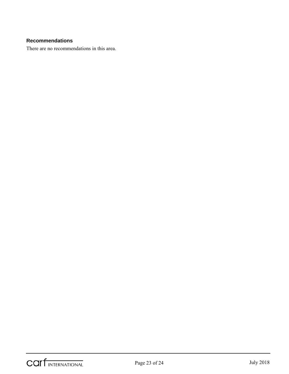#### **Recommendations**

There are no recommendations in this area.